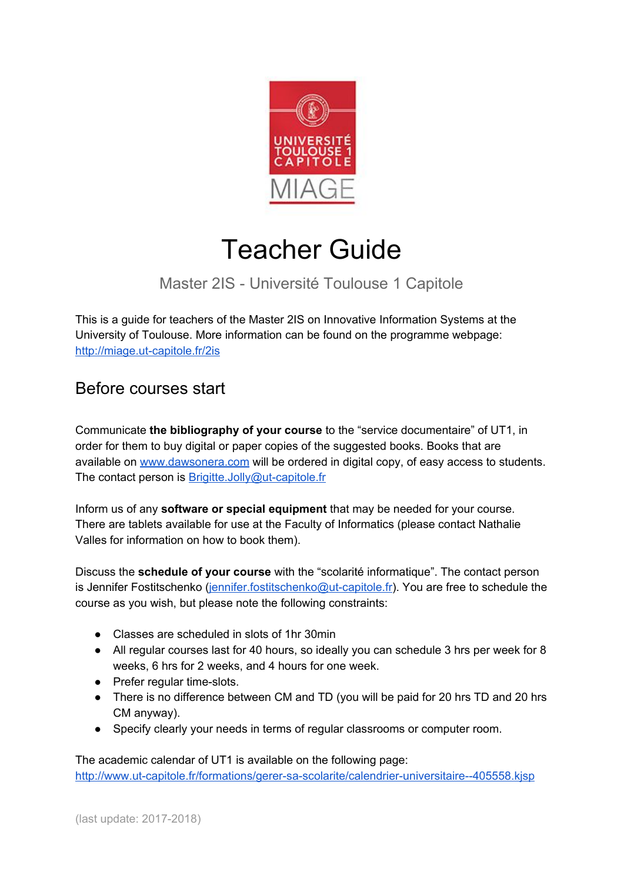

# Teacher Guide

# Master 2IS - Université Toulouse 1 Capitole

This is a guide for teachers of the Master 2IS on Innovative Information Systems at the University of Toulouse. More information can be found on the programme webpage: <http://miage.ut-capitole.fr/2is>

#### Before courses start

Communicate **the bibliography of your course** to the "service documentaire" of UT1, in order for them to buy digital or paper copies of the suggested books. Books that are available on [www.dawsonera.com](http://www.dawsonera.com/) will be ordered in digital copy, of easy access to students. The contact person is **[Brigitte.Jolly@ut-capitole.fr](mailto:Brigitte.Jolly@ut-capitole.fr)** 

Inform us of any **software or special equipment** that may be needed for your course. There are tablets available for use at the Faculty of Informatics (please contact Nathalie Valles for information on how to book them).

Discuss the **schedule of your course** with the "scolarité informatique". The contact person is Jennifer Fostitschenko ([jennifer.fostitschenko@ut-capitole.fr\)](mailto:jennifer.fostitschenko@ut-capitole.fr). You are free to schedule the course as you wish, but please note the following constraints:

- Classes are scheduled in slots of 1hr 30min
- All regular courses last for 40 hours, so ideally you can schedule 3 hrs per week for 8 weeks, 6 hrs for 2 weeks, and 4 hours for one week.
- Prefer regular time-slots.
- There is no difference between CM and TD (you will be paid for 20 hrs TD and 20 hrs CM anyway).
- Specify clearly your needs in terms of regular classrooms or computer room.

The academic calendar of UT1 is available on the following page: <http://www.ut-capitole.fr/formations/gerer-sa-scolarite/calendrier-universitaire--405558.kjsp>